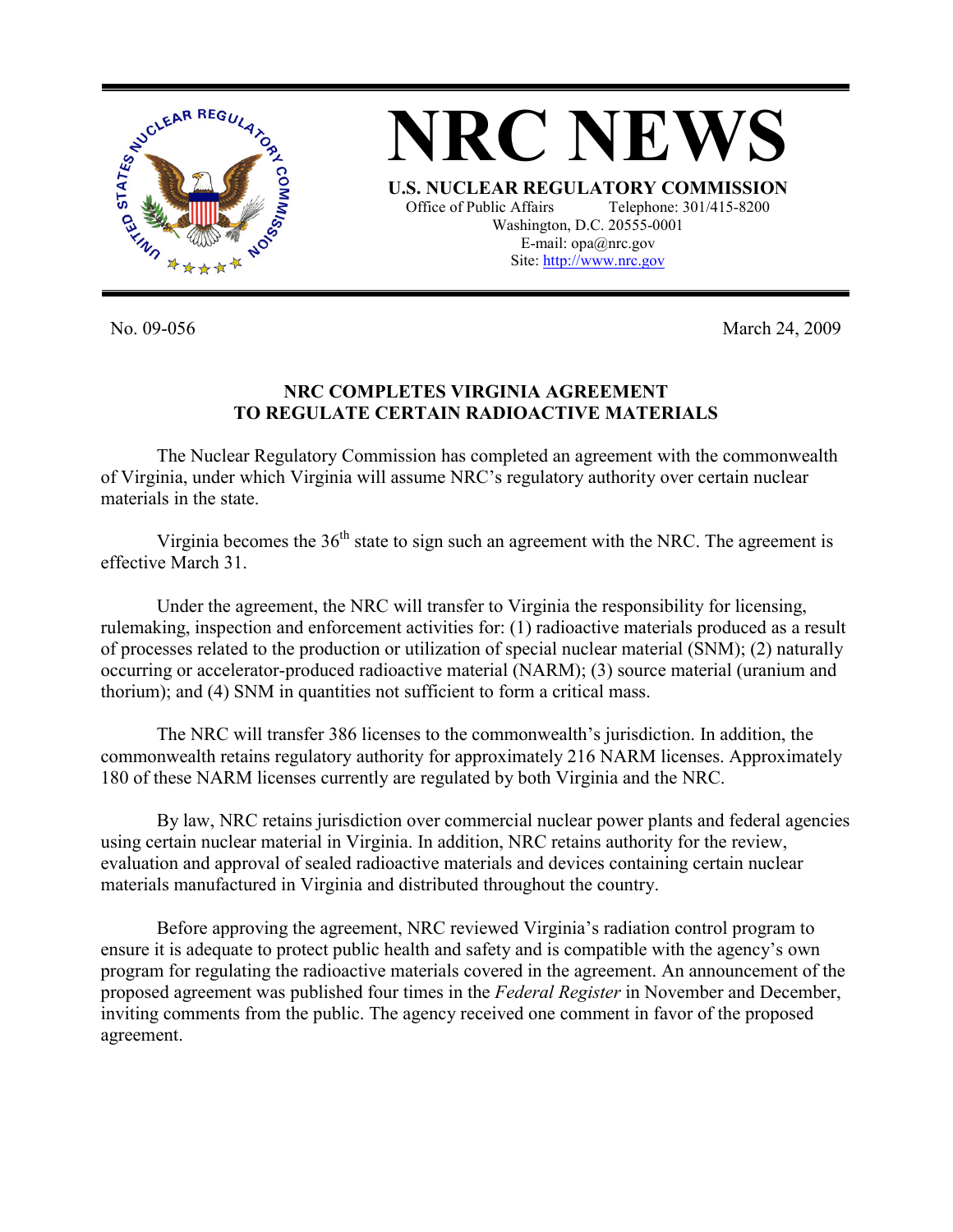

No. 09-056 March 24, 2009

## **NRC COMPLETES VIRGINIA AGREEMENT TO REGULATE CERTAIN RADIOACTIVE MATERIALS**

 The Nuclear Regulatory Commission has completed an agreement with the commonwealth of Virginia, under which Virginia will assume NRC's regulatory authority over certain nuclear materials in the state.

Virginia becomes the  $36<sup>th</sup>$  state to sign such an agreement with the NRC. The agreement is effective March 31.

 Under the agreement, the NRC will transfer to Virginia the responsibility for licensing, rulemaking, inspection and enforcement activities for: (1) radioactive materials produced as a result of processes related to the production or utilization of special nuclear material (SNM); (2) naturally occurring or accelerator-produced radioactive material (NARM); (3) source material (uranium and thorium); and (4) SNM in quantities not sufficient to form a critical mass.

The NRC will transfer 386 licenses to the commonwealth's jurisdiction. In addition, the commonwealth retains regulatory authority for approximately 216 NARM licenses. Approximately 180 of these NARM licenses currently are regulated by both Virginia and the NRC.

 By law, NRC retains jurisdiction over commercial nuclear power plants and federal agencies using certain nuclear material in Virginia. In addition, NRC retains authority for the review, evaluation and approval of sealed radioactive materials and devices containing certain nuclear materials manufactured in Virginia and distributed throughout the country.

 Before approving the agreement, NRC reviewed Virginia's radiation control program to ensure it is adequate to protect public health and safety and is compatible with the agency's own program for regulating the radioactive materials covered in the agreement. An announcement of the proposed agreement was published four times in the *Federal Register* in November and December, inviting comments from the public. The agency received one comment in favor of the proposed agreement.